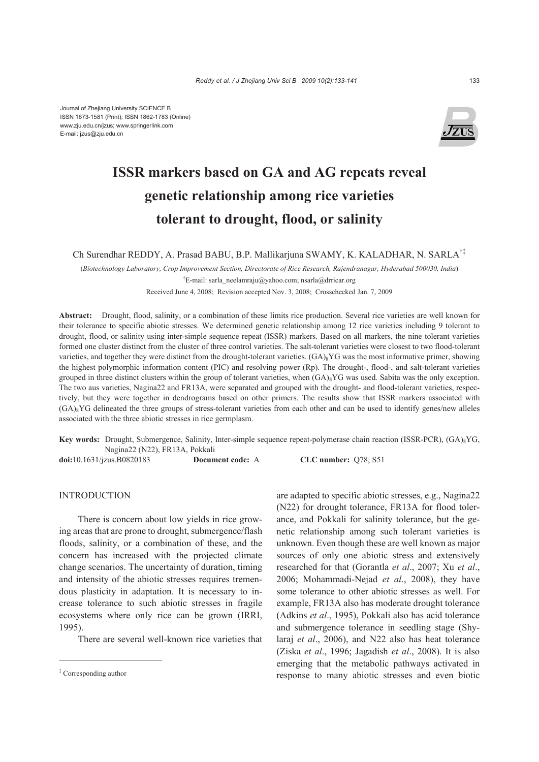

# **ISSR markers based on GA and AG repeats reveal genetic relationship among rice varieties tolerant to drought, flood, or salinity**

Ch Surendhar REDDY, A. Prasad BABU, B.P. Mallikarjuna SWAMY, K. KALADHAR, N. SARLA†‡

(*Biotechnology Laboratory, Crop Improvement Section, Directorate of Rice Research, Rajendranagar, Hyderabad 500030, India*) † E-mail: sarla\_neelamraju@yahoo.com; nsarla@drricar.org

Received June 4, 2008; Revision accepted Nov. 3, 2008; Crosschecked Jan. 7, 2009

**Abstract:** Drought, flood, salinity, or a combination of these limits rice production. Several rice varieties are well known for their tolerance to specific abiotic stresses. We determined genetic relationship among 12 rice varieties including 9 tolerant to drought, flood, or salinity using inter-simple sequence repeat (ISSR) markers. Based on all markers, the nine tolerant varieties formed one cluster distinct from the cluster of three control varieties. The salt-tolerant varieties were closest to two flood-tolerant varieties, and together they were distinct from the drought-tolerant varieties.  $(GA)_{8}YG$  was the most informative primer, showing the highest polymorphic information content (PIC) and resolving power (Rp). The drought-, flood-, and salt-tolerant varieties grouped in three distinct clusters within the group of tolerant varieties, when  $(GA)_{8}YG$  was used. Sabita was the only exception. The two aus varieties, Nagina22 and FR13A, were separated and grouped with the drought- and flood-tolerant varieties, respectively, but they were together in dendrograms based on other primers. The results show that ISSR markers associated with  $(GA)_8$ <sup>YG</sup> delineated the three groups of stress-tolerant varieties from each other and can be used to identify genes/new alleles associated with the three abiotic stresses in rice germplasm.

**Key words:** Drought, Submergence, Salinity, Inter-simple sequence repeat-polymerase chain reaction (ISSR-PCR),  $(GA)_{8}YG$ , Nagina22 (N22), FR13A, Pokkali

| $\text{doi: } 10.1631 / \text{jzus}. \text{B}0820183$ | <b>Document code:</b> A | CLC number: $Q78$ ; S51 |
|-------------------------------------------------------|-------------------------|-------------------------|
|-------------------------------------------------------|-------------------------|-------------------------|

### INTRODUCTION

There is concern about low yields in rice growing areas that are prone to drought, submergence/flash floods, salinity, or a combination of these, and the concern has increased with the projected climate change scenarios. The uncertainty of duration, timing and intensity of the abiotic stresses requires tremendous plasticity in adaptation. It is necessary to increase tolerance to such abiotic stresses in fragile ecosystems where only rice can be grown (IRRI, 1995).

There are several well-known rice varieties that

are adapted to specific abiotic stresses, e.g., Nagina22 (N22) for drought tolerance, FR13A for flood tolerance, and Pokkali for salinity tolerance, but the genetic relationship among such tolerant varieties is unknown. Even though these are well known as major sources of only one abiotic stress and extensively researched for that (Gorantla *et al*., 2007; Xu *et al*., 2006; Mohammadi-Nejad *et al*., 2008), they have some tolerance to other abiotic stresses as well. For example, FR13A also has moderate drought tolerance (Adkins *et al*., 1995), Pokkali also has acid tolerance and submergence tolerance in seedling stage (Shylaraj *et al*., 2006), and N22 also has heat tolerance (Ziska *et al*., 1996; Jagadish *et al*., 2008). It is also emerging that the metabolic pathways activated in response to many abiotic stresses and even biotic

<sup>‡</sup> Corresponding author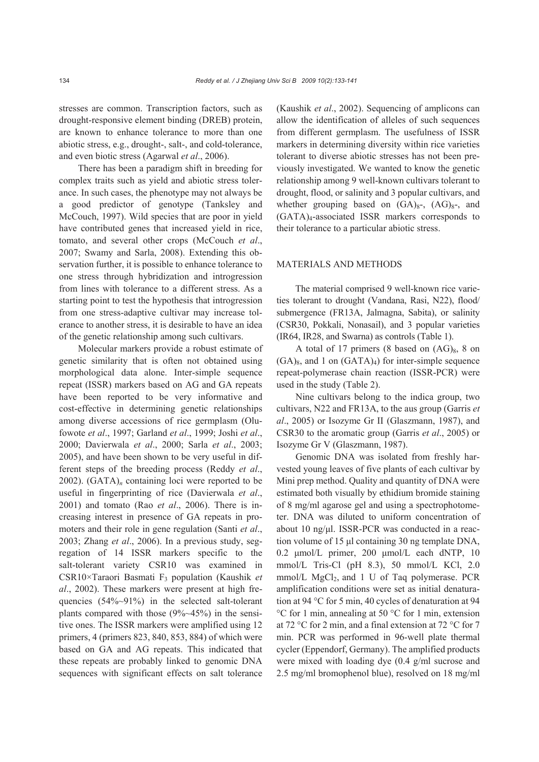stresses are common. Transcription factors, such as drought-responsive element binding (DREB) protein, are known to enhance tolerance to more than one abiotic stress, e.g., drought-, salt-, and cold-tolerance, and even biotic stress (Agarwal *et al*., 2006).

There has been a paradigm shift in breeding for complex traits such as yield and abiotic stress tolerance. In such cases, the phenotype may not always be a good predictor of genotype (Tanksley and McCouch, 1997). Wild species that are poor in yield have contributed genes that increased yield in rice, tomato, and several other crops (McCouch *et al*., 2007; Swamy and Sarla, 2008). Extending this observation further, it is possible to enhance tolerance to one stress through hybridization and introgression from lines with tolerance to a different stress. As a starting point to test the hypothesis that introgression from one stress-adaptive cultivar may increase tolerance to another stress, it is desirable to have an idea of the genetic relationship among such cultivars.

Molecular markers provide a robust estimate of genetic similarity that is often not obtained using morphological data alone. Inter-simple sequence repeat (ISSR) markers based on AG and GA repeats have been reported to be very informative and cost-effective in determining genetic relationships among diverse accessions of rice germplasm (Olufowote *et al*., 1997; Garland *et al*., 1999; Joshi *et al*., 2000; Davierwala *et al*., 2000; Sarla *et al*., 2003; 2005), and have been shown to be very useful in different steps of the breeding process (Reddy *et al*., 2002). (GATA)*n* containing loci were reported to be useful in fingerprinting of rice (Davierwala *et al*., 2001) and tomato (Rao *et al*., 2006). There is increasing interest in presence of GA repeats in promoters and their role in gene regulation (Santi *et al*., 2003; Zhang *et al*., 2006). In a previous study, segregation of 14 ISSR markers specific to the salt-tolerant variety CSR10 was examined in CSR10×Taraori Basmati F3 population (Kaushik *et al*., 2002). These markers were present at high frequencies (54%~91%) in the selected salt-tolerant plants compared with those (9%~45%) in the sensitive ones. The ISSR markers were amplified using 12 primers, 4 (primers 823, 840, 853, 884) of which were based on GA and AG repeats. This indicated that these repeats are probably linked to genomic DNA sequences with significant effects on salt tolerance (Kaushik *et al*., 2002). Sequencing of amplicons can allow the identification of alleles of such sequences from different germplasm. The usefulness of ISSR markers in determining diversity within rice varieties tolerant to diverse abiotic stresses has not been previously investigated. We wanted to know the genetic relationship among 9 well-known cultivars tolerant to drought, flood, or salinity and 3 popular cultivars, and whether grouping based on  $(GA)_{8^-}$ ,  $(AG)_{8^-}$ , and (GATA)4-associated ISSR markers corresponds to their tolerance to a particular abiotic stress.

## MATERIALS AND METHODS

The material comprised 9 well-known rice varieties tolerant to drought (Vandana, Rasi, N22), flood/ submergence (FR13A, Jalmagna, Sabita), or salinity (CSR30, Pokkali, Nonasail), and 3 popular varieties (IR64, IR28, and Swarna) as controls (Table 1).

A total of 17 primers (8 based on  $(AG)_{8}$ , 8 on  $(GA)<sub>8</sub>$ , and 1 on  $(GATA)<sub>4</sub>$  for inter-simple sequence repeat-polymerase chain reaction (ISSR-PCR) were used in the study (Table 2).

Nine cultivars belong to the indica group, two cultivars, N22 and FR13A, to the aus group (Garris *et al*., 2005) or Isozyme Gr II (Glaszmann, 1987), and CSR30 to the aromatic group (Garris *et al*., 2005) or Isozyme Gr V (Glaszmann, 1987).

Genomic DNA was isolated from freshly harvested young leaves of five plants of each cultivar by Mini prep method. Quality and quantity of DNA were estimated both visually by ethidium bromide staining of 8 mg/ml agarose gel and using a spectrophotometer. DNA was diluted to uniform concentration of about 10 ng/μl. ISSR-PCR was conducted in a reaction volume of 15 μl containing 30 ng template DNA, 0.2 μmol/L primer, 200 μmol/L each dNTP, 10 mmol/L Tris-Cl (pH 8.3), 50 mmol/L KCl, 2.0 mmol/L  $MgCl<sub>2</sub>$ , and 1 U of Taq polymerase. PCR amplification conditions were set as initial denaturation at 94 °C for 5 min, 40 cycles of denaturation at 94 °C for 1 min, annealing at 50 °C for 1 min, extension at 72 °C for 2 min, and a final extension at 72 °C for 7 min. PCR was performed in 96-well plate thermal cycler (Eppendorf, Germany). The amplified products were mixed with loading dye (0.4 g/ml sucrose and 2.5 mg/ml bromophenol blue), resolved on 18 mg/ml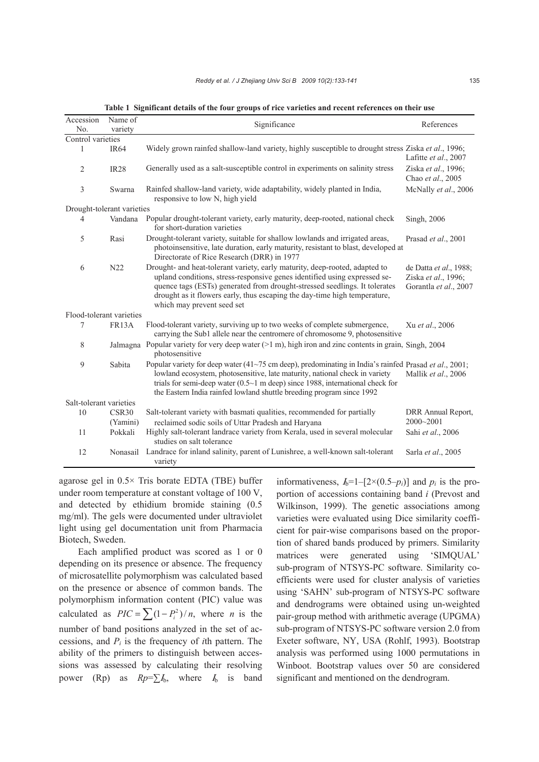| Name of<br>Accession       |                               | Significance                                                                                                                                                                                                                                                                                                                                      | References                                                             |  |  |  |  |
|----------------------------|-------------------------------|---------------------------------------------------------------------------------------------------------------------------------------------------------------------------------------------------------------------------------------------------------------------------------------------------------------------------------------------------|------------------------------------------------------------------------|--|--|--|--|
| No.                        | variety                       |                                                                                                                                                                                                                                                                                                                                                   |                                                                        |  |  |  |  |
| Control varieties          |                               |                                                                                                                                                                                                                                                                                                                                                   |                                                                        |  |  |  |  |
| $\mathbf{1}$               | <b>IR64</b>                   | Widely grown rainfed shallow-land variety, highly susceptible to drought stress Ziska et al., 1996;                                                                                                                                                                                                                                               | Lafitte et al., 2007                                                   |  |  |  |  |
| $\overline{2}$             | <b>IR28</b>                   | Generally used as a salt-susceptible control in experiments on salinity stress                                                                                                                                                                                                                                                                    | Ziska et al., 1996;<br>Chao et al., 2005                               |  |  |  |  |
| 3                          | Swarna                        | Rainfed shallow-land variety, wide adaptability, widely planted in India,<br>responsive to low N, high yield                                                                                                                                                                                                                                      | McNally et al., 2006                                                   |  |  |  |  |
| Drought-tolerant varieties |                               |                                                                                                                                                                                                                                                                                                                                                   |                                                                        |  |  |  |  |
| 4                          | Vandana                       | Popular drought-tolerant variety, early maturity, deep-rooted, national check<br>for short-duration varieties                                                                                                                                                                                                                                     | Singh, 2006                                                            |  |  |  |  |
| 5                          | Rasi                          | Drought-tolerant variety, suitable for shallow lowlands and irrigated areas,<br>photoinsensitive, late duration, early maturity, resistant to blast, developed at<br>Directorate of Rice Research (DRR) in 1977                                                                                                                                   | Prasad et al., 2001                                                    |  |  |  |  |
| 6                          | N22                           | Drought- and heat-tolerant variety, early maturity, deep-rooted, adapted to<br>upland conditions, stress-responsive genes identified using expressed se-<br>quence tags (ESTs) generated from drought-stressed seedlings. It tolerates<br>drought as it flowers early, thus escaping the day-time high temperature,<br>which may prevent seed set | de Datta et al., 1988;<br>Ziska et al., 1996;<br>Gorantla et al., 2007 |  |  |  |  |
| Flood-tolerant varieties   |                               |                                                                                                                                                                                                                                                                                                                                                   |                                                                        |  |  |  |  |
| 7                          | <b>FR13A</b>                  | Flood-tolerant variety, surviving up to two weeks of complete submergence,<br>carrying the Sub1 allele near the centromere of chromosome 9, photosensitive                                                                                                                                                                                        | Xu et al., 2006                                                        |  |  |  |  |
| 8                          | Jalmagna                      | Popular variety for very deep water $(>1 \text{ m})$ , high iron and zinc contents in grain, Singh, 2004<br>photosensitive                                                                                                                                                                                                                        |                                                                        |  |  |  |  |
| 9                          | Sabita                        | Popular variety for deep water (41~75 cm deep), predominating in India's rainfed Prasad et al., 2001;<br>lowland ecosystem, photosensitive, late maturity, national check in variety<br>trials for semi-deep water $(0.5~1$ m deep) since 1988, international check for<br>the Eastern India rainfed lowland shuttle breeding program since 1992  | Mallik et al., 2006                                                    |  |  |  |  |
| Salt-tolerant varieties    |                               |                                                                                                                                                                                                                                                                                                                                                   |                                                                        |  |  |  |  |
| 10                         | CSR <sub>30</sub><br>(Yamini) | Salt-tolerant variety with basmati qualities, recommended for partially<br>reclaimed sodic soils of Uttar Pradesh and Haryana                                                                                                                                                                                                                     | DRR Annual Report,<br>2000~2001                                        |  |  |  |  |
| 11                         | Pokkali                       | Highly salt-tolerant landrace variety from Kerala, used in several molecular<br>studies on salt tolerance                                                                                                                                                                                                                                         | Sahi et al., 2006                                                      |  |  |  |  |
| 12                         | Nonasail                      | Landrace for inland salinity, parent of Lunishree, a well-known salt-tolerant<br>variety                                                                                                                                                                                                                                                          | Sarla et al., 2005                                                     |  |  |  |  |

**Table 1 Significant details of the four groups of rice varieties and recent references on their use** 

agarose gel in 0.5× Tris borate EDTA (TBE) buffer under room temperature at constant voltage of 100 V, and detected by ethidium bromide staining (0.5 mg/ml). The gels were documented under ultraviolet light using gel documentation unit from Pharmacia Biotech, Sweden.

Each amplified product was scored as 1 or 0 depending on its presence or absence. The frequency of microsatellite polymorphism was calculated based on the presence or absence of common bands. The polymorphism information content (PIC) value was calculated as  $PIC = \sum_{i=1}^n (1 - P_i^2)/n$ , where *n* is the number of band positions analyzed in the set of accessions, and  $P_i$  is the frequency of *i*th pattern. The ability of the primers to distinguish between accessions was assessed by calculating their resolving power (Rp) as  $Rp = \sum I_0$ , where  $I_0$  is band

informativeness,  $I_0 = 1 - [2 \times (0.5-p_i)]$  and  $p_i$  is the proportion of accessions containing band *i* (Prevost and Wilkinson, 1999). The genetic associations among varieties were evaluated using Dice similarity coefficient for pair-wise comparisons based on the proportion of shared bands produced by primers. Similarity matrices were generated using 'SIMQUAL' sub-program of NTSYS-PC software. Similarity coefficients were used for cluster analysis of varieties using 'SAHN' sub-program of NTSYS-PC software and dendrograms were obtained using un-weighted pair-group method with arithmetic average (UPGMA) sub-program of NTSYS-PC software version 2.0 from Exeter software, NY, USA (Rohlf, 1993). Bootstrap analysis was performed using 1000 permutations in Winboot. Bootstrap values over 50 are considered significant and mentioned on the dendrogram.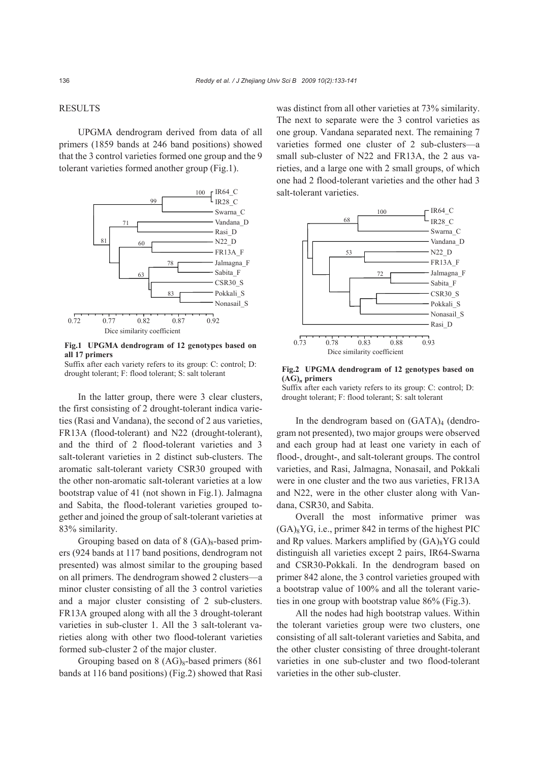## RESULTS

UPGMA dendrogram derived from data of all primers (1859 bands at 246 band positions) showed that the 3 control varieties formed one group and the 9 tolerant varieties formed another group (Fig.1).





Suffix after each variety refers to its group: C: control; D: drought tolerant; F: flood tolerant; S: salt tolerant

In the latter group, there were 3 clear clusters, the first consisting of 2 drought-tolerant indica varieties (Rasi and Vandana), the second of 2 aus varieties, FR13A (flood-tolerant) and N22 (drought-tolerant), and the third of 2 flood-tolerant varieties and 3 salt-tolerant varieties in 2 distinct sub-clusters. The aromatic salt-tolerant variety CSR30 grouped with the other non-aromatic salt-tolerant varieties at a low bootstrap value of 41 (not shown in Fig.1). Jalmagna and Sabita, the flood-tolerant varieties grouped together and joined the group of salt-tolerant varieties at 83% similarity.

Grouping based on data of  $8$  (GA)<sub>8</sub>-based primers (924 bands at 117 band positions, dendrogram not presented) was almost similar to the grouping based on all primers. The dendrogram showed 2 clusters—a minor cluster consisting of all the 3 control varieties and a major cluster consisting of 2 sub-clusters. FR13A grouped along with all the 3 drought-tolerant varieties in sub-cluster 1. All the 3 salt-tolerant varieties along with other two flood-tolerant varieties formed sub-cluster 2 of the major cluster.

Grouping based on  $8 \text{ (AG)}_8$ -based primers (861) bands at 116 band positions) (Fig.2) showed that Rasi was distinct from all other varieties at 73% similarity. The next to separate were the 3 control varieties as one group. Vandana separated next. The remaining 7 varieties formed one cluster of 2 sub-clusters—a small sub-cluster of N22 and FR13A, the 2 aus varieties, and a large one with 2 small groups, of which one had 2 flood-tolerant varieties and the other had 3 salt-tolerant varieties.



**Fig.2 UPGMA dendrogram of 12 genotypes based on (AG)***n* **primers** 

Suffix after each variety refers to its group: C: control; D: drought tolerant; F: flood tolerant; S: salt tolerant

In the dendrogram based on  $(GATA)<sub>4</sub>$  (dendrogram not presented), two major groups were observed and each group had at least one variety in each of flood-, drought-, and salt-tolerant groups. The control varieties, and Rasi, Jalmagna, Nonasail, and Pokkali were in one cluster and the two aus varieties, FR13A and N22, were in the other cluster along with Vandana, CSR30, and Sabita.

Overall the most informative primer was  $(GA)_{8}YG$ , i.e., primer 842 in terms of the highest PIC and Rp values. Markers amplified by  $(GA)_{8}YG$  could distinguish all varieties except 2 pairs, IR64-Swarna and CSR30-Pokkali. In the dendrogram based on primer 842 alone, the 3 control varieties grouped with a bootstrap value of 100% and all the tolerant varieties in one group with bootstrap value 86% (Fig.3).

All the nodes had high bootstrap values. Within the tolerant varieties group were two clusters, one consisting of all salt-tolerant varieties and Sabita, and the other cluster consisting of three drought-tolerant varieties in one sub-cluster and two flood-tolerant varieties in the other sub-cluster.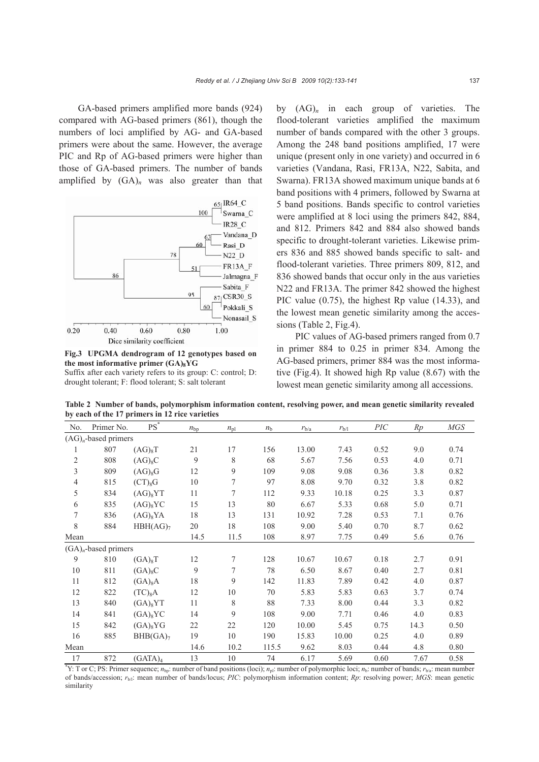GA-based primers amplified more bands (924) compared with AG-based primers (861), though the numbers of loci amplified by AG- and GA-based primers were about the same. However, the average PIC and Rp of AG-based primers were higher than those of GA-based primers. The number of bands amplified by (GA)*n* was also greater than that



**Fig.3 UPGMA dendrogram of 12 genotypes based on the most informative primer (GA)8YG** 

Suffix after each variety refers to its group: C: control; D: drought tolerant; F: flood tolerant; S: salt tolerant

by  $(AG)_n$  in each group of varieties. The flood-tolerant varieties amplified the maximum number of bands compared with the other 3 groups. Among the 248 band positions amplified, 17 were unique (present only in one variety) and occurred in 6 varieties (Vandana, Rasi, FR13A, N22, Sabita, and Swarna). FR13A showed maximum unique bands at 6 band positions with 4 primers, followed by Swarna at 5 band positions. Bands specific to control varieties were amplified at 8 loci using the primers 842, 884, and 812. Primers 842 and 884 also showed bands specific to drought-tolerant varieties. Likewise primers 836 and 885 showed bands specific to salt- and flood-tolerant varieties. Three primers 809, 812, and 836 showed bands that occur only in the aus varieties N22 and FR13A. The primer 842 showed the highest PIC value (0.75), the highest Rp value (14.33), and the lowest mean genetic similarity among the accessions (Table 2, Fig.4).

PIC values of AG-based primers ranged from 0.7 in primer 884 to 0.25 in primer 834. Among the AG-based primers, primer 884 was the most informative (Fig.4). It showed high Rp value (8.67) with the lowest mean genetic similarity among all accessions.

**Table 2 Number of bands, polymorphism information content, resolving power, and mean genetic similarity revealed by each of the 17 primers in 12 rice varieties** 

| No.                    | Primer No.                                                                                                                                                             | $PS^*$               | $n_{\rm bp}$ | $n_{\rm pl}$ | $n_{\rm b}$ | $r_{\rm b/a}$ | $r_{b/l}$ | $\mathcal{P} \mathcal{I} \mathcal{C}$ | Rp   | MGS  |
|------------------------|------------------------------------------------------------------------------------------------------------------------------------------------------------------------|----------------------|--------------|--------------|-------------|---------------|-----------|---------------------------------------|------|------|
|                        | $(AG)n$ -based primers                                                                                                                                                 |                      |              |              |             |               |           |                                       |      |      |
| 1                      | 807                                                                                                                                                                    | $(AG)_{8}T$          | 21           | 17           | 156         | 13.00         | 7.43      | 0.52                                  | 9.0  | 0.74 |
| $\overline{c}$         | 808                                                                                                                                                                    | $(AG)_{8}C$          | 9            | 8            | 68          | 5.67          | 7.56      | 0.53                                  | 4.0  | 0.71 |
| $\overline{3}$         | 809                                                                                                                                                                    | $(AG)_{8}G$          | 12           | 9            | 109         | 9.08          | 9.08      | 0.36                                  | 3.8  | 0.82 |
| 4                      | 815                                                                                                                                                                    | $(CT)_{8}G$          | $10\,$       | 7            | 97          | 8.08          | 9.70      | 0.32                                  | 3.8  | 0.82 |
| 5                      | 834                                                                                                                                                                    | $(AG)_{8}YT$         | 11           | 7            | 112         | 9.33          | 10.18     | 0.25                                  | 3.3  | 0.87 |
| 6                      | 835                                                                                                                                                                    | $(AG)_{8}YC$         | 15           | 13           | 80          | 6.67          | 5.33      | 0.68                                  | 5.0  | 0.71 |
| 7                      | 836                                                                                                                                                                    | $(AG)_{8}YA$         | 18           | 13           | 131         | 10.92         | 7.28      | 0.53                                  | 7.1  | 0.76 |
| 8                      | 884                                                                                                                                                                    | HBH(AG) <sub>7</sub> | 20           | 18           | 108         | 9.00          | 5.40      | 0.70                                  | 8.7  | 0.62 |
| Mean                   |                                                                                                                                                                        |                      | 14.5         | 11.5         | 108         | 8.97          | 7.75      | 0.49                                  | 5.6  | 0.76 |
| $(GA)n$ -based primers |                                                                                                                                                                        |                      |              |              |             |               |           |                                       |      |      |
| 9                      | 810                                                                                                                                                                    | $(GA)_{8}T$          | 12           | 7            | 128         | 10.67         | 10.67     | 0.18                                  | 2.7  | 0.91 |
| 10                     | 811                                                                                                                                                                    | $(GA)_{8}C$          | 9            | 7            | $78\,$      | 6.50          | 8.67      | 0.40                                  | 2.7  | 0.81 |
| 11                     | 812                                                                                                                                                                    | (GA) <sub>8</sub> A  | 18           | 9            | 142         | 11.83         | 7.89      | 0.42                                  | 4.0  | 0.87 |
| 12                     | 822                                                                                                                                                                    | (TC) <sub>8</sub> A  | 12           | 10           | 70          | 5.83          | 5.83      | 0.63                                  | 3.7  | 0.74 |
| 13                     | 840                                                                                                                                                                    | $(GA)_{8}YT$         | 11           | 8            | 88          | 7.33          | 8.00      | 0.44                                  | 3.3  | 0.82 |
| 14                     | 841                                                                                                                                                                    | $(GA)_{8}YC$         | 14           | 9            | 108         | 9.00          | 7.71      | 0.46                                  | 4.0  | 0.83 |
| 15                     | 842                                                                                                                                                                    | $(GA)_{8}YG$         | 22           | 22           | 120         | 10.00         | 5.45      | 0.75                                  | 14.3 | 0.50 |
| 16                     | 885                                                                                                                                                                    | BHB(GA) <sub>7</sub> | 19           | 10           | 190         | 15.83         | 10.00     | 0.25                                  | 4.0  | 0.89 |
| Mean                   |                                                                                                                                                                        |                      | 14.6         | 10.2         | 115.5       | 9.62          | 8.03      | 0.44                                  | 4.8  | 0.80 |
| 17                     | 872                                                                                                                                                                    | (GATA) <sub>4</sub>  | 13           | 10           | 74          | 6.17          | 5.69      | 0.60                                  | 7.67 | 0.58 |
|                        | "Y: T or C; PS: Primer sequence; $n_{bp}$ : number of band positions (loci); $n_{pl}$ : number of polymorphic loci; $n_{b}$ : number of bands; $r_{b/a}$ : mean number |                      |              |              |             |               |           |                                       |      |      |

of bands/accession; *r*b/l: mean number of bands/locus; *PIC*: polymorphism information content; *Rp*: resolving power; *MGS*: mean genetic similarity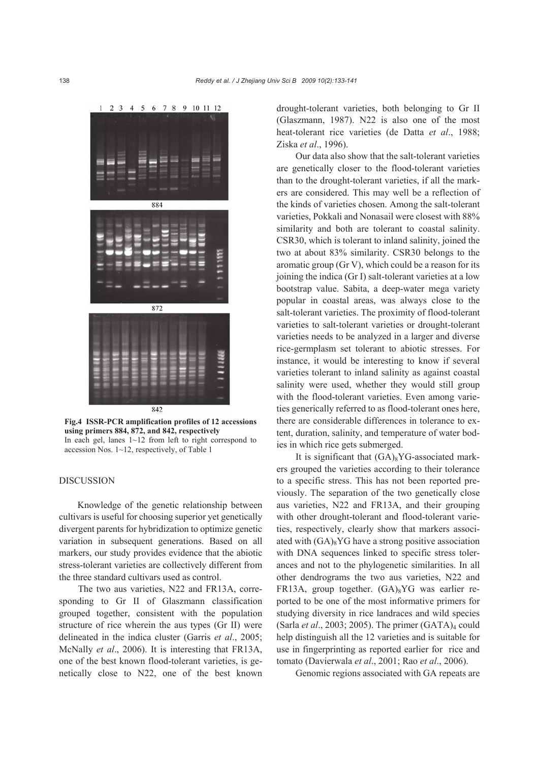

**Fig.4 ISSR-PCR amplification profiles of 12 accessions using primers 884, 872, and 842, respectively**  In each gel, lanes 1~12 from left to right correspond to accession Nos. 1~12, respectively, of Table 1

## DISCUSSION

Knowledge of the genetic relationship between cultivars is useful for choosing superior yet genetically divergent parents for hybridization to optimize genetic variation in subsequent generations. Based on all markers, our study provides evidence that the abiotic stress-tolerant varieties are collectively different from the three standard cultivars used as control.

The two aus varieties, N22 and FR13A, corresponding to Gr II of Glaszmann classification grouped together, consistent with the population structure of rice wherein the aus types (Gr II) were delineated in the indica cluster (Garris *et al*., 2005; McNally *et al*., 2006). It is interesting that FR13A, one of the best known flood-tolerant varieties, is genetically close to N22, one of the best known

drought-tolerant varieties, both belonging to Gr II (Glaszmann, 1987). N22 is also one of the most heat-tolerant rice varieties (de Datta *et al*., 1988; Ziska *et al*., 1996).

Our data also show that the salt-tolerant varieties are genetically closer to the flood-tolerant varieties than to the drought-tolerant varieties, if all the markers are considered. This may well be a reflection of the kinds of varieties chosen. Among the salt-tolerant varieties, Pokkali and Nonasail were closest with 88% similarity and both are tolerant to coastal salinity. CSR30, which is tolerant to inland salinity, joined the two at about 83% similarity. CSR30 belongs to the aromatic group (Gr V), which could be a reason for its joining the indica (Gr I) salt-tolerant varieties at a low bootstrap value. Sabita, a deep-water mega variety popular in coastal areas, was always close to the salt-tolerant varieties. The proximity of flood-tolerant varieties to salt-tolerant varieties or drought-tolerant varieties needs to be analyzed in a larger and diverse rice-germplasm set tolerant to abiotic stresses. For instance, it would be interesting to know if several varieties tolerant to inland salinity as against coastal salinity were used, whether they would still group with the flood-tolerant varieties. Even among varieties generically referred to as flood-tolerant ones here, there are considerable differences in tolerance to extent, duration, salinity, and temperature of water bodies in which rice gets submerged.

It is significant that  $(GA)_{8}YG$ -associated markers grouped the varieties according to their tolerance to a specific stress. This has not been reported previously. The separation of the two genetically close aus varieties, N22 and FR13A, and their grouping with other drought-tolerant and flood-tolerant varieties, respectively, clearly show that markers associated with  $(GA)_{8}YG$  have a strong positive association with DNA sequences linked to specific stress tolerances and not to the phylogenetic similarities. In all other dendrograms the two aus varieties, N22 and FR13A, group together. (GA)<sub>8</sub>YG was earlier reported to be one of the most informative primers for studying diversity in rice landraces and wild species (Sarla *et al.*, 2003; 2005). The primer  $(GATA)<sub>4</sub>$  could help distinguish all the 12 varieties and is suitable for use in fingerprinting as reported earlier for rice and tomato (Davierwala *et al*., 2001; Rao *et al*., 2006).

Genomic regions associated with GA repeats are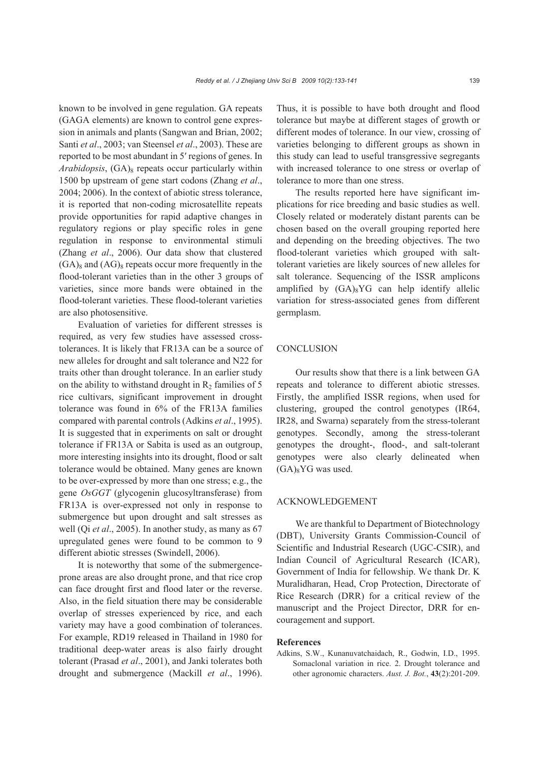known to be involved in gene regulation. GA repeats (GAGA elements) are known to control gene expression in animals and plants (Sangwan and Brian, 2002; Santi *et al*., 2003; van Steensel *et al*., 2003). These are reported to be most abundant in 5′ regions of genes. In *Arabidopsis*, (GA)<sub>8</sub> repeats occur particularly within 1500 bp upstream of gene start codons (Zhang *et al*., 2004; 2006). In the context of abiotic stress tolerance, it is reported that non-coding microsatellite repeats provide opportunities for rapid adaptive changes in regulatory regions or play specific roles in gene regulation in response to environmental stimuli (Zhang *et al*., 2006). Our data show that clustered  $(GA)_{8}$  and  $(AG)_{8}$  repeats occur more frequently in the flood-tolerant varieties than in the other 3 groups of varieties, since more bands were obtained in the flood-tolerant varieties. These flood-tolerant varieties are also photosensitive.

Evaluation of varieties for different stresses is required, as very few studies have assessed crosstolerances. It is likely that FR13A can be a source of new alleles for drought and salt tolerance and N22 for traits other than drought tolerance. In an earlier study on the ability to withstand drought in  $R_2$  families of 5 rice cultivars, significant improvement in drought tolerance was found in 6% of the FR13A families compared with parental controls (Adkins *et al*., 1995). It is suggested that in experiments on salt or drought tolerance if FR13A or Sabita is used as an outgroup, more interesting insights into its drought, flood or salt tolerance would be obtained. Many genes are known to be over-expressed by more than one stress; e.g., the gene *OsGGT* (glycogenin glucosyltransferase) from FR13A is over-expressed not only in response to submergence but upon drought and salt stresses as well (Qi *et al*., 2005). In another study, as many as 67 upregulated genes were found to be common to 9 different abiotic stresses (Swindell, 2006).

It is noteworthy that some of the submergenceprone areas are also drought prone, and that rice crop can face drought first and flood later or the reverse. Also, in the field situation there may be considerable overlap of stresses experienced by rice, and each variety may have a good combination of tolerances. For example, RD19 released in Thailand in 1980 for traditional deep-water areas is also fairly drought tolerant (Prasad *et al*., 2001), and Janki tolerates both drought and submergence (Mackill *et al*., 1996). Thus, it is possible to have both drought and flood tolerance but maybe at different stages of growth or different modes of tolerance. In our view, crossing of varieties belonging to different groups as shown in this study can lead to useful transgressive segregants with increased tolerance to one stress or overlap of tolerance to more than one stress.

The results reported here have significant implications for rice breeding and basic studies as well. Closely related or moderately distant parents can be chosen based on the overall grouping reported here and depending on the breeding objectives. The two flood-tolerant varieties which grouped with salttolerant varieties are likely sources of new alleles for salt tolerance. Sequencing of the ISSR amplicons amplified by  $(GA)_{8}YG$  can help identify allelic variation for stress-associated genes from different germplasm.

## **CONCLUSION**

Our results show that there is a link between GA repeats and tolerance to different abiotic stresses. Firstly, the amplified ISSR regions, when used for clustering, grouped the control genotypes (IR64, IR28, and Swarna) separately from the stress-tolerant genotypes. Secondly, among the stress-tolerant genotypes the drought-, flood-, and salt-tolerant genotypes were also clearly delineated when  $(GA)_{8}YG$  was used.

## ACKNOWLEDGEMENT

We are thankful to Department of Biotechnology (DBT), University Grants Commission-Council of Scientific and Industrial Research (UGC-CSIR), and Indian Council of Agricultural Research (ICAR), Government of India for fellowship. We thank Dr. K Muralidharan, Head, Crop Protection, Directorate of Rice Research (DRR) for a critical review of the manuscript and the Project Director, DRR for encouragement and support.

#### **References**

Adkins, S.W., Kunanuvatchaidach, R., Godwin, I.D., 1995. Somaclonal variation in rice. 2. Drought tolerance and other agronomic characters. *Aust. J. Bot.*, **43**(2):201-209.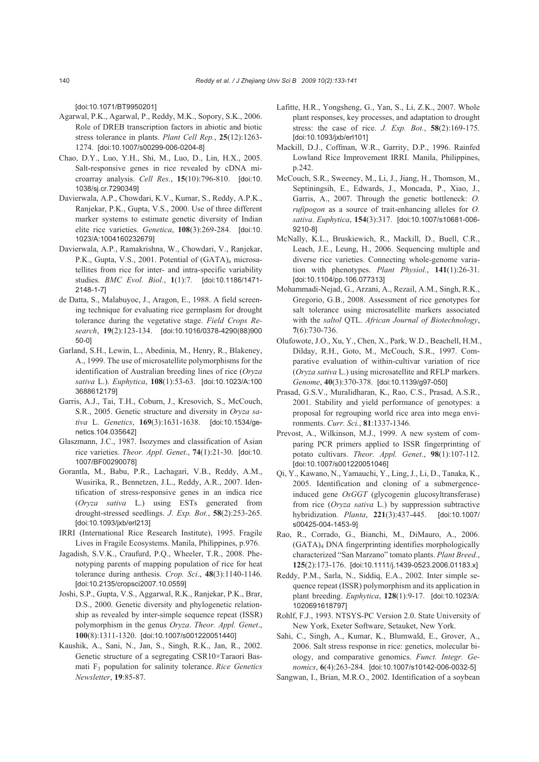[doi:10.1071/BT9950201]

- Agarwal, P.K., Agarwal, P., Reddy, M.K., Sopory, S.K., 2006. Role of DREB transcription factors in abiotic and biotic stress tolerance in plants. *Plant Cell Rep.*, **25**(12):1263- 1274. [doi:10.1007/s00299-006-0204-8]
- Chao, D.Y., Luo, Y.H., Shi, M., Luo, D., Lin, H.X., 2005. Salt-responsive genes in rice revealed by cDNA microarray analysis. *Cell Res.*, **15**(10):796-810. [doi:10. 1038/sj.cr.7290349]
- Davierwala, A.P., Chowdari, K.V., Kumar, S., Reddy, A.P.K., Ranjekar, P.K., Gupta, V.S., 2000. Use of three different marker systems to estimate genetic diversity of Indian elite rice varieties. *Genetica*, **108**(3):269-284. [doi:10. 1023/A:1004160232679]
- Davierwala, A.P., Ramakrishna, W., Chowdari, V., Ranjekar, P.K., Gupta, V.S., 2001. Potential of (GATA)*n* microsatellites from rice for inter- and intra-specific variability studies. *BMC Evol. Biol.*, **1**(1):7. [doi:10.1186/1471- 2148-1-7]
- de Datta, S., Malabuyoc, J., Aragon, E., 1988. A field screening technique for evaluating rice germplasm for drought tolerance during the vegetative stage. *Field Crops Research*, **19**(2):123-134. [doi:10.1016/0378-4290(88)900 50-0]
- Garland, S.H., Lewin, L., Abedinia, M., Henry, R., Blakeney, A., 1999. The use of microsatellite polymorphisms for the identification of Australian breeding lines of rice (*Oryza sativa* L.). *Euphytica*, **108**(1):53-63. [doi:10.1023/A:100 3688612179]
- Garris, A.J., Tai, T.H., Coburn, J., Kresovich, S., McCouch, S.R., 2005. Genetic structure and diversity in *Oryza sativa* L. *Genetics*, **169**(3):1631-1638. [doi:10.1534/genetics.104.035642]
- Glaszmann, J.C., 1987. Isozymes and classification of Asian rice varieties. *Theor. Appl. Genet*., **74**(1):21-30. [doi:10. 1007/BF00290078]
- Gorantla, M., Babu, P.R., Lachagari, V.B., Reddy, A.M., Wusirika, R., Bennetzen, J.L., Reddy, A.R., 2007. Identification of stress-responsive genes in an indica rice (*Oryza sativa* L.) using ESTs generated from drought-stressed seedlings. *J. Exp. Bot.*, **58**(2):253-265. [doi:10.1093/jxb/erl213]
- IRRI (International Rice Research Institute), 1995. Fragile Lives in Fragile Ecosystems. Manila, Philippines, p.976.
- Jagadish, S.V.K., Craufurd, P.Q., Wheeler, T.R., 2008. Phenotyping parents of mapping population of rice for heat tolerance during anthesis. *Crop. Sci*., **48**(3):1140-1146. [doi:10.2135/cropsci2007.10.0559]
- Joshi, S.P., Gupta, V.S., Aggarwal, R.K., Ranjekar, P.K., Brar, D.S., 2000. Genetic diversity and phylogenetic relationship as revealed by inter-simple sequence repeat (ISSR) polymorphism in the genus *Oryza*. *Theor. Appl. Genet*., **100**(8):1311-1320. [doi:10.1007/s001220051440]
- Kaushik, A., Sani, N., Jan, S., Singh, R.K., Jan, R., 2002. Genetic structure of a segregating CSR10×Taraori Basmati F3 population for salinity tolerance. *Rice Genetics Newsletter*, **19**:85-87.
- Lafitte, H.R., Yongsheng, G., Yan, S., Li, Z.K., 2007. Whole plant responses, key processes, and adaptation to drought stress: the case of rice. *J. Exp. Bot.*, **58**(2):169-175. [doi:10.1093/jxb/erl101]
- Mackill, D.J., Coffman, W.R., Garrity, D.P., 1996. Rainfed Lowland Rice Improvement IRRI. Manila, Philippines, p.242.
- McCouch, S.R., Sweeney, M., Li, J., Jiang, H., Thomson, M., Septiningsih, E., Edwards, J., Moncada, P., Xiao, J., Garris, A., 2007. Through the genetic bottleneck: *O. rufipogon* as a source of trait-enhancing alleles for *O. sativa*. *Euphytica*, **154**(3):317. [doi:10.1007/s10681-006- 9210-8]
- McNally, K.L., Bruskiewich, R., Mackill, D., Buell, C.R., Leach, J.E., Leung, H., 2006. Sequencing multiple and diverse rice varieties. Connecting whole-genome variation with phenotypes. *Plant Physiol.*, **141**(1):26-31. [doi:10.1104/pp.106.077313]
- Mohammadi-Nejad, G., Arzani, A., Rezail, A.M., Singh, R.K., Gregorio, G.B., 2008. Assessment of rice genotypes for salt tolerance using microsatellite markers associated with the *saltol* QTL. *African Journal of Biotechnology*, **7**(6):730-736.
- Olufowote, J.O., Xu, Y., Chen, X., Park, W.D., Beachell, H.M., Dilday, R.H., Goto, M., McCouch, S.R., 1997. Comparative evaluation of within-cultivar variation of rice (*Oryza sativa* L.) using microsatellite and RFLP markers. *Genome*, **40**(3):370-378. [doi:10.1139/g97-050]
- Prasad, G.S.V., Muralidharan, K., Rao, C.S., Prasad, A.S.R., 2001. Stability and yield performance of genotypes: a proposal for regrouping world rice area into mega environments. *Curr. Sci.*, **81**:1337-1346.
- Prevost, A., Wilkinson, M.J., 1999. A new system of comparing PCR primers applied to ISSR fingerprinting of potato cultivars. *Theor. Appl. Genet*., **98**(1):107-112. [doi:10.1007/s001220051046]
- Qi, Y., Kawano, N., Yamauchi, Y., Ling, J., Li, D., Tanaka, K., 2005. Identification and cloning of a submergenceinduced gene *OsGGT* (glycogenin glucosyltransferase) from rice (*Oryza sativa* L.) by suppression subtractive hybridization. *Planta*, **221**(3):437-445. [doi:10.1007/ s00425-004-1453-9]
- Rao, R., Corrado, G., Bianchi, M., DiMauro, A., 2006. (GATA)4 DNA fingerprinting identifies morphologically characterized "San Marzano" tomato plants. *Plant Breed.*, **125**(2):173-176. [doi:10.1111/j.1439-0523.2006.01183.x]
- Reddy, P.M., Sarla, N., Siddiq, E.A., 2002. Inter simple sequence repeat (ISSR) polymorphism and its application in plant breeding. *Euphytica*, **128**(1):9-17. [doi:10.1023/A: 1020691618797]
- Rohlf, F.J., 1993. NTSYS-PC Version 2.0. State University of New York, Exeter Software, Setauket, New York.
- Sahi, C., Singh, A., Kumar, K., Blumwald, E., Grover, A., 2006. Salt stress response in rice: genetics, molecular biology, and comparative genomics. *Funct. Integr. Genomics*, **6**(4):263-284. [doi:10.1007/s10142-006-0032-5]
- Sangwan, I., Brian, M.R.O., 2002. Identification of a soybean